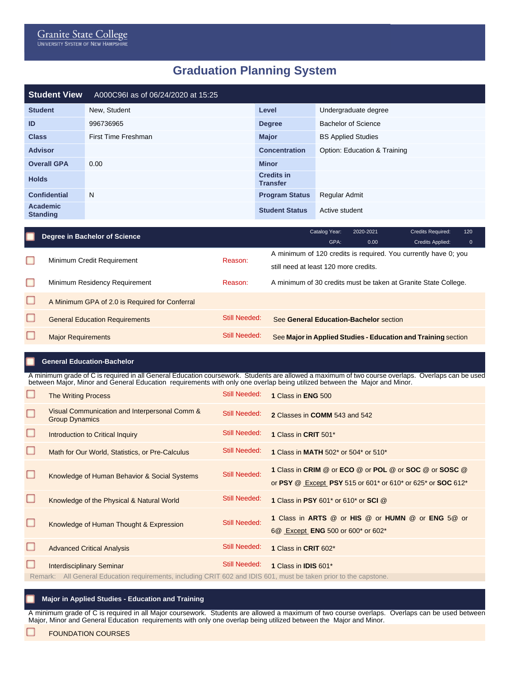## **Graduation Planning System**

| <b>Student View</b>         | A000C96I as of 06/24/2020 at 15:25 |                                      |                              |
|-----------------------------|------------------------------------|--------------------------------------|------------------------------|
| <b>Student</b>              | New, Student                       | Level                                | Undergraduate degree         |
| ID                          | 996736965                          | <b>Degree</b>                        | <b>Bachelor of Science</b>   |
| <b>Class</b>                | First Time Freshman                | <b>Major</b>                         | <b>BS Applied Studies</b>    |
| <b>Advisor</b>              |                                    | <b>Concentration</b>                 | Option: Education & Training |
| <b>Overall GPA</b>          | 0.00                               | <b>Minor</b>                         |                              |
| <b>Holds</b>                |                                    | <b>Credits in</b><br><b>Transfer</b> |                              |
| <b>Confidential</b>         | N                                  | <b>Program Status</b>                | Regular Admit                |
| Academic<br><b>Standing</b> |                                    | <b>Student Status</b>                | Active student               |

|  | Degree in Bachelor of Science                  |               | Catalog Year:                                                   | 2020-2021 | <b>Credits Required:</b> | 120          |  |  |
|--|------------------------------------------------|---------------|-----------------------------------------------------------------|-----------|--------------------------|--------------|--|--|
|  |                                                |               | GPA:                                                            | 0.00      | Credits Applied:         | $\mathbf{0}$ |  |  |
|  | Minimum Credit Requirement                     | Reason:       | A minimum of 120 credits is required. You currently have 0; you |           |                          |              |  |  |
|  |                                                |               | still need at least 120 more credits.                           |           |                          |              |  |  |
|  | Minimum Residency Requirement                  | Reason:       | A minimum of 30 credits must be taken at Granite State College. |           |                          |              |  |  |
|  | A Minimum GPA of 2.0 is Required for Conferral |               |                                                                 |           |                          |              |  |  |
|  | <b>General Education Requirements</b>          | Still Needed: | See General Education-Bachelor section                          |           |                          |              |  |  |
|  | <b>Major Requirements</b>                      | Still Needed: | See Major in Applied Studies - Education and Training section   |           |                          |              |  |  |
|  |                                                |               |                                                                 |           |                          |              |  |  |

## **General Education-Bachelor**

A minimum grade of C is required in all General Education coursework. Students are allowed a maximum of two course overlaps. Overlaps can be used between Major, Minor and General Education requirements with only one overlap being utilized between the Major and Minor.

|   | <b>The Writing Process</b>                                                                                                                            | <b>Still Needed:</b> | 1 Class in ENG 500                                                                                                    |
|---|-------------------------------------------------------------------------------------------------------------------------------------------------------|----------------------|-----------------------------------------------------------------------------------------------------------------------|
| □ | Visual Communication and Interpersonal Comm &<br><b>Group Dynamics</b>                                                                                | Still Needed:        | 2 Classes in COMM 543 and 542                                                                                         |
|   | Introduction to Critical Inquiry                                                                                                                      | <b>Still Needed:</b> | 1 Class in CRIT 501*                                                                                                  |
|   | Math for Our World, Statistics, or Pre-Calculus                                                                                                       | <b>Still Needed:</b> | 1 Class in MATH 502* or 504* or 510*                                                                                  |
|   | Knowledge of Human Behavior & Social Systems                                                                                                          | <b>Still Needed:</b> | 1 Class in CRIM @ or ECO @ or POL @ or SOC @ or SOSC @<br>or PSY @ Except PSY 515 or 601* or 610* or 625* or SOC 612* |
|   | Knowledge of the Physical & Natural World                                                                                                             | <b>Still Needed:</b> | 1 Class in PSY 601* or 610* or SCI @                                                                                  |
|   | Knowledge of Human Thought & Expression                                                                                                               | <b>Still Needed:</b> | 1 Class in ARTS @ or HIS @ or HUMN @ or ENG 5@ or<br>6@ Except <b>ENG</b> 500 or 600* or 602*                         |
|   | <b>Advanced Critical Analysis</b>                                                                                                                     | Still Needed:        | 1 Class in CRIT 602*                                                                                                  |
|   | <b>Interdisciplinary Seminar</b><br>Describing All Organization of the second of the United ODIT 000 and IDIO 004, according to large the contraction | Still Needed:        | 1 Class in <b>IDIS</b> 601*                                                                                           |

Remark: All General Education requirements, including CRIT 602 and IDIS 601, must be taken prior to the capstone.

## **Major in Applied Studies - Education and Training**

A minimum grade of C is required in all Major coursework. Students are allowed a maximum of two course overlaps. Overlaps can be used between Major, Minor and General Education requirements with only one overlap being utilized between the Major and Minor.